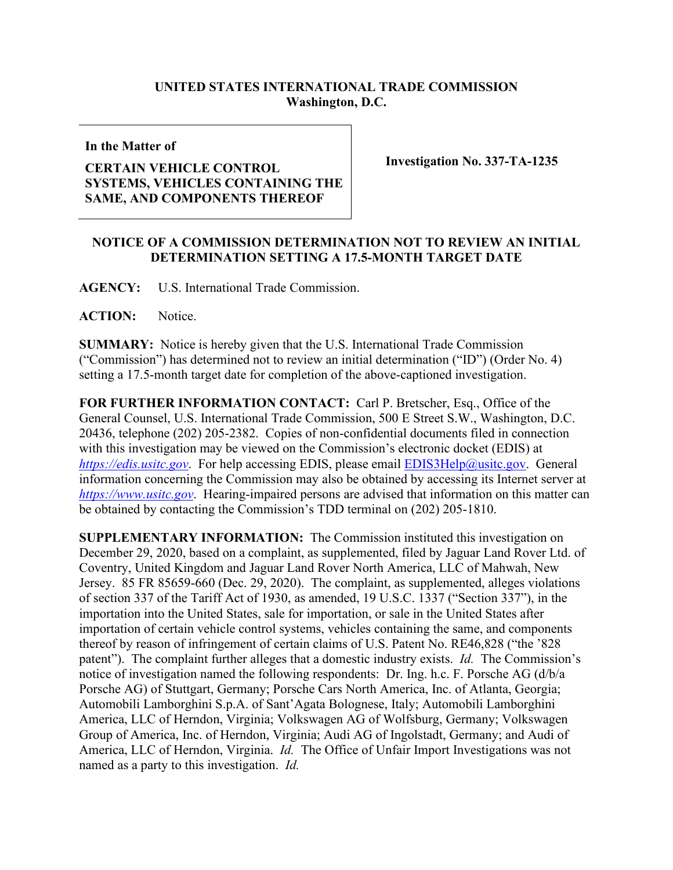## **UNITED STATES INTERNATIONAL TRADE COMMISSION Washington, D.C.**

**In the Matter of**

## **CERTAIN VEHICLE CONTROL SYSTEMS, VEHICLES CONTAINING THE SAME, AND COMPONENTS THEREOF**

**Investigation No. 337-TA-1235**

## **NOTICE OF A COMMISSION DETERMINATION NOT TO REVIEW AN INITIAL DETERMINATION SETTING A 17.5-MONTH TARGET DATE**

**AGENCY:** U.S. International Trade Commission.

**ACTION:** Notice.

**SUMMARY:** Notice is hereby given that the U.S. International Trade Commission ("Commission") has determined not to review an initial determination ("ID") (Order No. 4) setting a 17.5-month target date for completion of the above-captioned investigation.

**FOR FURTHER INFORMATION CONTACT:** Carl P. Bretscher, Esq., Office of the General Counsel, U.S. International Trade Commission, 500 E Street S.W., Washington, D.C. 20436, telephone (202) 205-2382. Copies of non-confidential documents filed in connection with this investigation may be viewed on the Commission's electronic docket (EDIS) at *[https://edis.usitc.gov](https://edis.usitc.gov/).* For help accessing EDIS, please email [EDIS3Help@usitc.gov.](mailto:EDIS3Help@usitc.gov) General information concerning the Commission may also be obtained by accessing its Internet server at *[https://www.usitc.gov](https://www.usitc.gov/)*. Hearing-impaired persons are advised that information on this matter can be obtained by contacting the Commission's TDD terminal on (202) 205-1810.

**SUPPLEMENTARY INFORMATION:** The Commission instituted this investigation on December 29, 2020, based on a complaint, as supplemented, filed by Jaguar Land Rover Ltd. of Coventry, United Kingdom and Jaguar Land Rover North America, LLC of Mahwah, New Jersey. 85 FR 85659-660 (Dec. 29, 2020). The complaint, as supplemented, alleges violations of section 337 of the Tariff Act of 1930, as amended, 19 U.S.C. 1337 ("Section 337"), in the importation into the United States, sale for importation, or sale in the United States after importation of certain vehicle control systems, vehicles containing the same, and components thereof by reason of infringement of certain claims of U.S. Patent No. RE46,828 ("the '828 patent"). The complaint further alleges that a domestic industry exists. *Id.* The Commission's notice of investigation named the following respondents: Dr. Ing. h.c. F. Porsche AG (d/b/a Porsche AG) of Stuttgart, Germany; Porsche Cars North America, Inc. of Atlanta, Georgia; Automobili Lamborghini S.p.A. of Sant'Agata Bolognese, Italy; Automobili Lamborghini America, LLC of Herndon, Virginia; Volkswagen AG of Wolfsburg, Germany; Volkswagen Group of America, Inc. of Herndon, Virginia; Audi AG of Ingolstadt, Germany; and Audi of America, LLC of Herndon, Virginia. *Id.* The Office of Unfair Import Investigations was not named as a party to this investigation. *Id.*